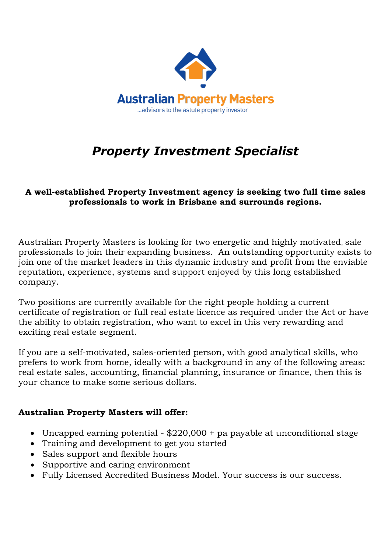

## *Property Investment Specialist*

## **A well-established Property Investment agency is seeking two full time sales professionals to work in Brisbane and surrounds regions.**

Australian Property Masters is looking for two energetic and highly motivated, sale professionals to join their expanding business. An outstanding opportunity exists to join one of the market leaders in this dynamic industry and profit from the enviable reputation, experience, systems and support enjoyed by this long established company.

Two positions are currently available for the right people holding a current certificate of registration or full real estate licence as required under the Act or have the ability to obtain registration, who want to excel in this very rewarding and exciting real estate segment.

If you are a self-motivated, sales-oriented person, with good analytical skills, who prefers to work from home, ideally with a background in any of the following areas: real estate sales, accounting, financial planning, insurance or finance, then this is your chance to make some serious dollars.

## **Australian Property Masters will offer:**

- Uncapped earning potential \$220,000 + pa payable at unconditional stage
- Training and development to get you started
- Sales support and flexible hours
- Supportive and caring environment
- Fully Licensed Accredited Business Model. Your success is our success.